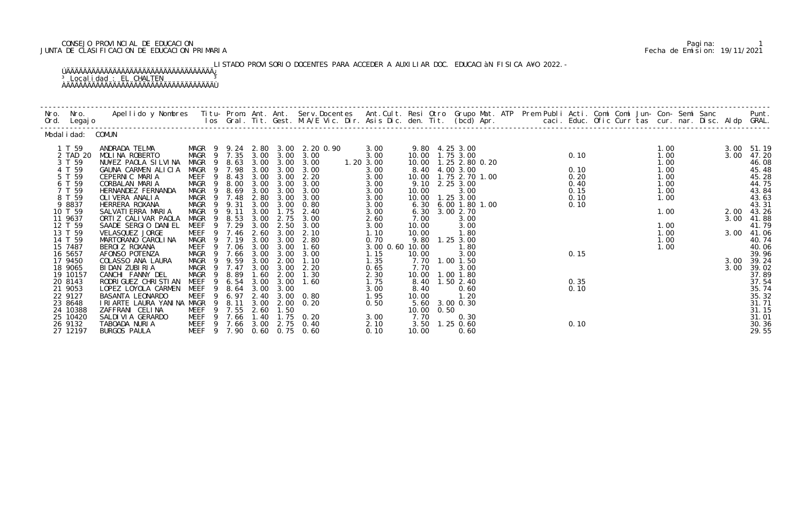## CONSEJO PROVINCIAL DE EDUCACION Pagina: 1 JUNTA DE CLASIFICACION DE EDUCACION PRIMARIA Fecha de Emision: 19/11/2021

LISTADO PROVISORIO DOCENTES PARA ACCEDER A AUXILIAR DOC. EDUCACIÀN FISICA A¥O 2022.-ÚÄÄÄÄÄÄÄÄÄÄÄÄÄÄÄÄÄÄÄÄÄÄÄÄÄÄÄÄÄÄÄÄÄÄÄ¿

<sup>3</sup> Localidad : EL CHALTEN <sup>3</sup> ÀÄÄÄÄÄÄÄÄÄÄÄÄÄÄÄÄÄÄÄÄÄÄÄÄÄÄÄÄÄÄÄÄÄÄÄÙ

| Modal i dad: COMUN  |                                                 |                                                 |                  |              |              |                                 |              |                 |            |                                           |  |      |  |              |      |                     |
|---------------------|-------------------------------------------------|-------------------------------------------------|------------------|--------------|--------------|---------------------------------|--------------|-----------------|------------|-------------------------------------------|--|------|--|--------------|------|---------------------|
| 1 T 59              | ANDRADA TELMA                                   |                                                 |                  |              |              | MAGR 9 9.24 2.80 3.00 2.20 0.90 | 3.00         |                 |            | 9.80 4.25 3.00                            |  |      |  | 1.00         |      | 3.00 51.19          |
| 2 TAD 20            | MOLINA ROBERTO                                  | MAGR 9 7.35 3.00 3.00 3.00                      |                  |              |              | 1.203.00                        | 3.00         |                 |            | 10.00  1.75  3.00                         |  | 0.10 |  | 1.00         | 3.00 | 47.20               |
| 3 T 59<br>4 T 59    | NU¥EZ PAOLA SILVINA<br>GAUNA CARMEN ALICIA      | MAGR <sub>9</sub><br>MAGR 9 7.98 3.00 3.00 3.00 |                  |              |              | 8.63 3.00 3.00 3.00             | 3.00         |                 |            | 10.00  1.25  2.80  0.20<br>8.40 4.00 3.00 |  | 0.10 |  | 1.00<br>1.00 |      | 46.08<br>45.48      |
| 5 T 59              | CEPERNIC MARIA                                  | MEEF 9 8.43                                     |                  |              |              | 3.00 3.00 2.20                  | 3.00         |                 |            | 10.00   1.75   2.70   1.00                |  | 0.20 |  | 1.00         |      | 45.28               |
| 6 T 59              | CORBALAN MARIA                                  | MAGR 9 8.00                                     |                  | 3.00 3.00    |              | 3.00                            | 3.00         |                 |            | 9.10 2.25 3.00                            |  | 0.40 |  | 1.00         |      | 44.75               |
| 7 T 59              | HERNANDEZ FERNANDA                              | MAGR<br>- 9                                     | 8.69             |              | 3.00 3.00    | 3.00                            | 3.00         | 10.00           |            | 3.00                                      |  | 0.15 |  | 1.00         |      | 43.84               |
| 8 T 59              | OLI VERA ANALI A                                | MAGR 9 7.48                                     |                  | 2.80         | 3.00         | 3.00                            | 3.00         |                 |            | 10.00  1.25  3.00                         |  | 0.10 |  | 1.00         |      | 43.63               |
| 9 8837              | HERRERA ROXANA                                  | MAGR 9 9.31                                     |                  |              |              | 3.00 3.00 0.80                  | 3.00         |                 |            | 6.30 6.00 1.80 1.00                       |  | 0.10 |  |              |      | 43.31               |
| 10 T 59             | SALVATI ERRA MARIA                              | MAGR 9 9.11                                     |                  |              | 3.00 1.75    | 2.40                            | 3.00         |                 |            | 6.30 3.00 2.70                            |  |      |  | 1.00         |      | 2.00 43.26          |
| 11 9637             | ORTIZ CALIVAR PAOLA                             | MAGR<br>$\overline{9}$                          | 8.53             | 3.00         | 2.75         | 3.00                            | 2.60         | 7.00            |            | 3.00                                      |  |      |  |              |      | 3.00 41.88          |
| 12 T 59<br>13 T 59  | SAADE SERGIO DANIEL<br>VELASQUEZ JORGE          | MEEF<br>MEEF 9 7.46                             | 7.29             | 3.00<br>2.60 | 2.50<br>3.00 | 3.00<br>2.10                    | 3.00<br>1.10 | 10.00<br>10.00  |            | 3.00<br>1.80                              |  |      |  | 1.00<br>1.00 |      | 41.79<br>3.00 41.06 |
| 14 T 59             | MARTORANO CAROLINA                              | MAGR 9 7.19                                     |                  | 3.00 3.00    |              | 2.80                            | 0.70         |                 |            | 9.80 1.25 3.00                            |  |      |  | 1.00         |      | 40.74               |
| 15 7487             | BEROI Z ROXANA                                  | MEEF                                            | 9 7.06 3.00 3.00 |              |              | 1.60                            |              | 3.00 0.60 10.00 |            | 1.80                                      |  |      |  | 1.00         |      | 40.06               |
| 16 5657             | AFONSO POTENZA                                  | MAGR 9                                          | 7.66             | 3.00         | 3.00         | 3.00                            | 1.15         | 10.00           |            | 3.00                                      |  | 0.15 |  |              |      | 39.96               |
| 17 9450             | COLASSO ANA LAURA                               | MAGR 9 9.59                                     |                  | 3.00         | 2.00         | 1.10                            | 1.35         |                 |            | 7.70 1.00 1.50                            |  |      |  |              |      | 3.00 39.24          |
| 18 9065             | BIDAN ZUBIRIA                                   | MAGR 9 7.47                                     |                  |              | 3.00 3.00    | 2.20                            | 0.65         | 7.70            |            | 3.00                                      |  |      |  |              | 3.00 | 39.02               |
| 19 10157            | CANCHI FANNY DEL                                | MAGR <sub>9</sub>                               | 8.89             | 1.60         | 2.00         | 1.30                            | 2.30         |                 |            | 10.00  1.00  1.80                         |  |      |  |              |      | 37.89               |
| 20 8143             | RODRI GUEZ CHRI STI AN                          | MEEF<br>-9                                      | 6.54             | 3.00         | 3.00         | 1.60                            | 1.75         |                 |            | 8.40 1.50 2.40                            |  | 0.35 |  |              |      | 37.54               |
| 21 9053             | LOPEZ LOYOLA CARMEN                             | MEEF<br>- 9                                     | 8.64             | 3.00         | 3.00         |                                 | 3.00         | 8.40            |            | 0.60                                      |  | 0.10 |  |              |      | 35.74               |
| 22 9127             | BASANTA LEONARDO                                | MEEF<br>-9                                      | 6.97             |              |              | 2.40 3.00 0.80                  | 1.95         | 10.00           |            | 1.20                                      |  |      |  |              |      | 35.32               |
| 23 8648<br>24 10388 | I RI ARTE LAURA YANI NA MAGR<br>ZAFFRANI CELINA | - 9<br>MEEF                                     | 8.11<br>9 7.55   | 2.60         | 1.50         | 3.00 2.00 0.20                  | 0.50         |                 | 10.00 0.50 | 5.60 3.00 0.30                            |  |      |  |              |      | 31.71<br>31.15      |
| 25 10420            | SALDI VI A GERARDO                              | MEEF 9 7.66 1.40 1.75 0.20                      |                  |              |              |                                 | 3.00         | 7.70            |            | 0.30                                      |  |      |  |              |      | 31.01               |
| 26 9132             | TABOADA NURIA                                   | MEEF 9 7.66 3.00 2.75 0.40                      |                  |              |              |                                 | 2.10         |                 |            | 3.50 1.25 0.60                            |  | 0.10 |  |              |      | 30.36               |
| 27 12197            | BURGOS PAULA                                    | MEEF 9 7.90 0.60 0.75 0.60                      |                  |              |              |                                 | 0.10         | 10.00           |            | 0.60                                      |  |      |  |              |      | 29.55               |